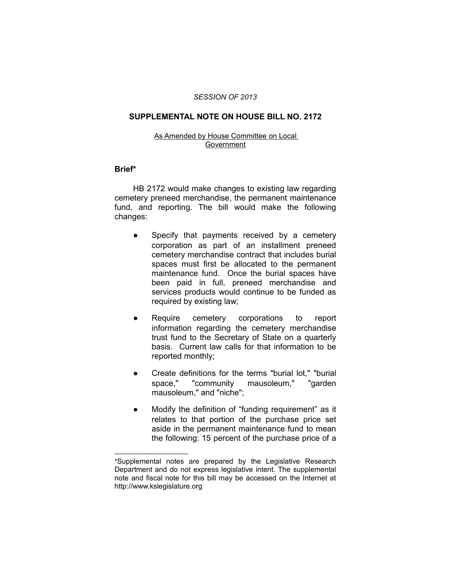#### *SESSION OF 2013*

## **SUPPLEMENTAL NOTE ON HOUSE BILL NO. 2172**

## As Amended by House Committee on Local Government

## **Brief\***

HB 2172 would make changes to existing law regarding cemetery preneed merchandise, the permanent maintenance fund, and reporting. The bill would make the following changes:

- Specify that payments received by a cemetery corporation as part of an installment preneed cemetery merchandise contract that includes burial spaces must first be allocated to the permanent maintenance fund. Once the burial spaces have been paid in full, preneed merchandise and services products would continue to be funded as required by existing law;
- Require cemetery corporations to report information regarding the cemetery merchandise trust fund to the Secretary of State on a quarterly basis. Current law calls for that information to be reported monthly;
- Create definitions for the terms "burial lot," "burial space," "community mausoleum," "garden mausoleum," and "niche";
- Modify the definition of "funding requirement" as it relates to that portion of the purchase price set aside in the permanent maintenance fund to mean the following: 15 percent of the purchase price of a

 $\overline{\phantom{a}}$  , where  $\overline{\phantom{a}}$ 

<sup>\*</sup>Supplemental notes are prepared by the Legislative Research Department and do not express legislative intent. The supplemental note and fiscal note for this bill may be accessed on the Internet at http://www.kslegislature.org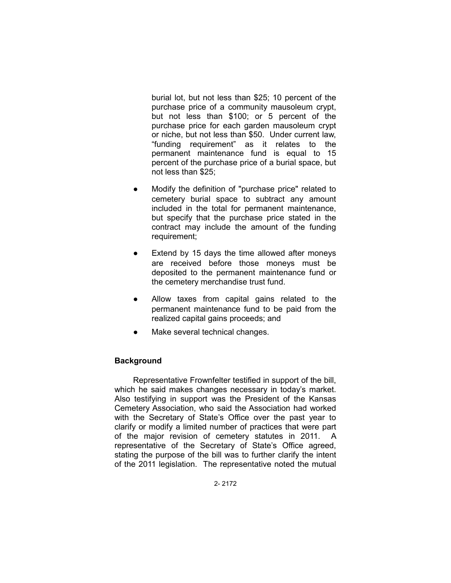burial lot, but not less than \$25; 10 percent of the purchase price of a community mausoleum crypt, but not less than \$100; or 5 percent of the purchase price for each garden mausoleum crypt or niche, but not less than \$50. Under current law, "funding requirement" as it relates to the permanent maintenance fund is equal to 15 percent of the purchase price of a burial space, but not less than \$25;

- Modify the definition of "purchase price" related to cemetery burial space to subtract any amount included in the total for permanent maintenance, but specify that the purchase price stated in the contract may include the amount of the funding requirement;
- Extend by 15 days the time allowed after moneys are received before those moneys must be deposited to the permanent maintenance fund or the cemetery merchandise trust fund.
- Allow taxes from capital gains related to the permanent maintenance fund to be paid from the realized capital gains proceeds; and
- Make several technical changes.

# **Background**

Representative Frownfelter testified in support of the bill, which he said makes changes necessary in today's market. Also testifying in support was the President of the Kansas Cemetery Association, who said the Association had worked with the Secretary of State's Office over the past year to clarify or modify a limited number of practices that were part of the major revision of cemetery statutes in 2011. A representative of the Secretary of State's Office agreed, stating the purpose of the bill was to further clarify the intent of the 2011 legislation. The representative noted the mutual